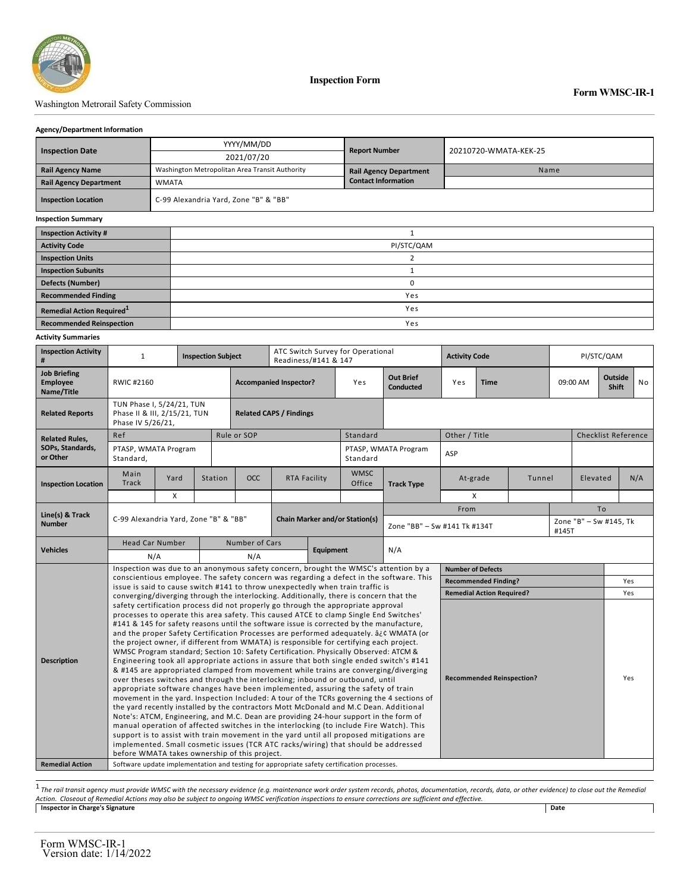

## Washington Metrorail Safety Commission

 $\mathbf l$ 

### **Agency/Department Information**

| <b>Inspection Date</b>        |              | YYYY/MM/DD                                     | <b>Report Number</b>          | 20210720-WMATA-KEK-25 |  |  |  |  |  |  |
|-------------------------------|--------------|------------------------------------------------|-------------------------------|-----------------------|--|--|--|--|--|--|
|                               |              | 2021/07/20                                     |                               |                       |  |  |  |  |  |  |
| <b>Rail Agency Name</b>       |              | Washington Metropolitan Area Transit Authority | <b>Rail Agency Department</b> | Name                  |  |  |  |  |  |  |
| <b>Rail Agency Department</b> | <b>WMATA</b> |                                                | <b>Contact Information</b>    |                       |  |  |  |  |  |  |
| <b>Inspection Location</b>    |              | C-99 Alexandria Yard, Zone "B" & "BB"          |                               |                       |  |  |  |  |  |  |
| <b>Inspection Summary</b>     |              |                                                |                               |                       |  |  |  |  |  |  |
| <b>Inspection Activity #</b>  |              |                                                |                               |                       |  |  |  |  |  |  |
| <b>Activity Code</b>          |              | PI/STC/QAM                                     |                               |                       |  |  |  |  |  |  |
| <b>Inspection Units</b>       |              |                                                |                               |                       |  |  |  |  |  |  |
| <b>Inspection Subunits</b>    |              |                                                |                               |                       |  |  |  |  |  |  |
| <b>Defects (Number)</b>       |              |                                                | 0                             |                       |  |  |  |  |  |  |
| <b>Recommended Finding</b>    |              |                                                | Yes                           |                       |  |  |  |  |  |  |

### **Activity Summaries**

|                                                                                                                                                                                                                                                                                                                                                                |                                                                                                                                                                                                                                                                                                                                                                                                                                                                                                                                                                                                                                                                                                                                     |                                                                                                                                                                                                             |                                                                                                                                                                                                                                                                                                                                                                                                                                                                                                                                                                                                                                                                                                                                                                                                                                                                                                                 |                           |                            |                                       |      | <b>Inspection Form</b> |                                      |                                                                 |                      |     |                            |                                 |                  |    |  |
|----------------------------------------------------------------------------------------------------------------------------------------------------------------------------------------------------------------------------------------------------------------------------------------------------------------------------------------------------------------|-------------------------------------------------------------------------------------------------------------------------------------------------------------------------------------------------------------------------------------------------------------------------------------------------------------------------------------------------------------------------------------------------------------------------------------------------------------------------------------------------------------------------------------------------------------------------------------------------------------------------------------------------------------------------------------------------------------------------------------|-------------------------------------------------------------------------------------------------------------------------------------------------------------------------------------------------------------|-----------------------------------------------------------------------------------------------------------------------------------------------------------------------------------------------------------------------------------------------------------------------------------------------------------------------------------------------------------------------------------------------------------------------------------------------------------------------------------------------------------------------------------------------------------------------------------------------------------------------------------------------------------------------------------------------------------------------------------------------------------------------------------------------------------------------------------------------------------------------------------------------------------------|---------------------------|----------------------------|---------------------------------------|------|------------------------|--------------------------------------|-----------------------------------------------------------------|----------------------|-----|----------------------------|---------------------------------|------------------|----|--|
| Washington Metrorail Safety Commission                                                                                                                                                                                                                                                                                                                         |                                                                                                                                                                                                                                                                                                                                                                                                                                                                                                                                                                                                                                                                                                                                     |                                                                                                                                                                                                             |                                                                                                                                                                                                                                                                                                                                                                                                                                                                                                                                                                                                                                                                                                                                                                                                                                                                                                                 |                           |                            |                                       |      |                        |                                      |                                                                 |                      |     |                            | Form WMSC-IR-1                  |                  |    |  |
| <b>Agency/Department Information</b>                                                                                                                                                                                                                                                                                                                           |                                                                                                                                                                                                                                                                                                                                                                                                                                                                                                                                                                                                                                                                                                                                     |                                                                                                                                                                                                             |                                                                                                                                                                                                                                                                                                                                                                                                                                                                                                                                                                                                                                                                                                                                                                                                                                                                                                                 |                           |                            |                                       |      |                        |                                      |                                                                 |                      |     |                            |                                 |                  |    |  |
| <b>Inspection Date</b>                                                                                                                                                                                                                                                                                                                                         | YYYY/MM/DD                                                                                                                                                                                                                                                                                                                                                                                                                                                                                                                                                                                                                                                                                                                          |                                                                                                                                                                                                             |                                                                                                                                                                                                                                                                                                                                                                                                                                                                                                                                                                                                                                                                                                                                                                                                                                                                                                                 |                           |                            | <b>Report Number</b>                  |      |                        | 20210720-WMATA-KEK-25                |                                                                 |                      |     |                            |                                 |                  |    |  |
|                                                                                                                                                                                                                                                                                                                                                                |                                                                                                                                                                                                                                                                                                                                                                                                                                                                                                                                                                                                                                                                                                                                     |                                                                                                                                                                                                             |                                                                                                                                                                                                                                                                                                                                                                                                                                                                                                                                                                                                                                                                                                                                                                                                                                                                                                                 |                           | 2021/07/20                 |                                       |      |                        |                                      |                                                                 |                      |     |                            |                                 |                  |    |  |
| <b>Rail Agency Name</b>                                                                                                                                                                                                                                                                                                                                        | Washington Metropolitan Area Transit Authority                                                                                                                                                                                                                                                                                                                                                                                                                                                                                                                                                                                                                                                                                      |                                                                                                                                                                                                             |                                                                                                                                                                                                                                                                                                                                                                                                                                                                                                                                                                                                                                                                                                                                                                                                                                                                                                                 |                           | <b>Contact Information</b> | <b>Rail Agency Department</b>         | Name |                        |                                      |                                                                 |                      |     |                            |                                 |                  |    |  |
| <b>Rail Agency Department</b><br><b>Inspection Location</b>                                                                                                                                                                                                                                                                                                    |                                                                                                                                                                                                                                                                                                                                                                                                                                                                                                                                                                                                                                                                                                                                     |                                                                                                                                                                                                             | <b>WMATA</b><br>C-99 Alexandria Yard, Zone "B" & "BB"                                                                                                                                                                                                                                                                                                                                                                                                                                                                                                                                                                                                                                                                                                                                                                                                                                                           |                           |                            |                                       |      |                        |                                      |                                                                 |                      |     |                            |                                 |                  |    |  |
| <b>Inspection Summary</b>                                                                                                                                                                                                                                                                                                                                      |                                                                                                                                                                                                                                                                                                                                                                                                                                                                                                                                                                                                                                                                                                                                     |                                                                                                                                                                                                             |                                                                                                                                                                                                                                                                                                                                                                                                                                                                                                                                                                                                                                                                                                                                                                                                                                                                                                                 |                           |                            |                                       |      |                        |                                      |                                                                 |                      |     |                            |                                 |                  |    |  |
| <b>Inspection Activity #</b>                                                                                                                                                                                                                                                                                                                                   |                                                                                                                                                                                                                                                                                                                                                                                                                                                                                                                                                                                                                                                                                                                                     |                                                                                                                                                                                                             |                                                                                                                                                                                                                                                                                                                                                                                                                                                                                                                                                                                                                                                                                                                                                                                                                                                                                                                 |                           |                            |                                       |      |                        | 1                                    |                                                                 |                      |     |                            |                                 |                  |    |  |
| <b>Activity Code</b>                                                                                                                                                                                                                                                                                                                                           |                                                                                                                                                                                                                                                                                                                                                                                                                                                                                                                                                                                                                                                                                                                                     |                                                                                                                                                                                                             |                                                                                                                                                                                                                                                                                                                                                                                                                                                                                                                                                                                                                                                                                                                                                                                                                                                                                                                 |                           |                            |                                       |      |                        | PI/STC/QAM                           |                                                                 |                      |     |                            |                                 |                  |    |  |
| <b>Inspection Units</b>                                                                                                                                                                                                                                                                                                                                        |                                                                                                                                                                                                                                                                                                                                                                                                                                                                                                                                                                                                                                                                                                                                     |                                                                                                                                                                                                             |                                                                                                                                                                                                                                                                                                                                                                                                                                                                                                                                                                                                                                                                                                                                                                                                                                                                                                                 |                           |                            |                                       |      |                        | $\overline{2}$                       |                                                                 |                      |     |                            |                                 |                  |    |  |
| <b>Inspection Subunits</b>                                                                                                                                                                                                                                                                                                                                     |                                                                                                                                                                                                                                                                                                                                                                                                                                                                                                                                                                                                                                                                                                                                     |                                                                                                                                                                                                             |                                                                                                                                                                                                                                                                                                                                                                                                                                                                                                                                                                                                                                                                                                                                                                                                                                                                                                                 |                           |                            |                                       |      |                        | $\mathbf{1}$                         |                                                                 |                      |     |                            |                                 |                  |    |  |
| Defects (Number)                                                                                                                                                                                                                                                                                                                                               |                                                                                                                                                                                                                                                                                                                                                                                                                                                                                                                                                                                                                                                                                                                                     |                                                                                                                                                                                                             |                                                                                                                                                                                                                                                                                                                                                                                                                                                                                                                                                                                                                                                                                                                                                                                                                                                                                                                 |                           |                            |                                       |      |                        | 0                                    |                                                                 |                      |     |                            |                                 |                  |    |  |
| <b>Recommended Finding</b>                                                                                                                                                                                                                                                                                                                                     |                                                                                                                                                                                                                                                                                                                                                                                                                                                                                                                                                                                                                                                                                                                                     |                                                                                                                                                                                                             |                                                                                                                                                                                                                                                                                                                                                                                                                                                                                                                                                                                                                                                                                                                                                                                                                                                                                                                 |                           |                            |                                       |      |                        | Yes                                  |                                                                 |                      |     |                            |                                 |                  |    |  |
|                                                                                                                                                                                                                                                                                                                                                                |                                                                                                                                                                                                                                                                                                                                                                                                                                                                                                                                                                                                                                                                                                                                     |                                                                                                                                                                                                             |                                                                                                                                                                                                                                                                                                                                                                                                                                                                                                                                                                                                                                                                                                                                                                                                                                                                                                                 |                           |                            |                                       |      |                        | Yes                                  |                                                                 |                      |     |                            |                                 |                  |    |  |
| Remedial Action Required <sup>1</sup>                                                                                                                                                                                                                                                                                                                          |                                                                                                                                                                                                                                                                                                                                                                                                                                                                                                                                                                                                                                                                                                                                     |                                                                                                                                                                                                             |                                                                                                                                                                                                                                                                                                                                                                                                                                                                                                                                                                                                                                                                                                                                                                                                                                                                                                                 |                           |                            |                                       |      |                        |                                      |                                                                 |                      |     |                            |                                 |                  |    |  |
| <b>Recommended Reinspection</b>                                                                                                                                                                                                                                                                                                                                |                                                                                                                                                                                                                                                                                                                                                                                                                                                                                                                                                                                                                                                                                                                                     |                                                                                                                                                                                                             |                                                                                                                                                                                                                                                                                                                                                                                                                                                                                                                                                                                                                                                                                                                                                                                                                                                                                                                 |                           |                            |                                       |      |                        | Yes                                  |                                                                 |                      |     |                            |                                 |                  |    |  |
| <b>Activity Summaries</b>                                                                                                                                                                                                                                                                                                                                      |                                                                                                                                                                                                                                                                                                                                                                                                                                                                                                                                                                                                                                                                                                                                     |                                                                                                                                                                                                             |                                                                                                                                                                                                                                                                                                                                                                                                                                                                                                                                                                                                                                                                                                                                                                                                                                                                                                                 |                           |                            |                                       |      |                        |                                      |                                                                 |                      |     |                            |                                 |                  |    |  |
| <b>Inspection Activity</b><br>#                                                                                                                                                                                                                                                                                                                                | 1                                                                                                                                                                                                                                                                                                                                                                                                                                                                                                                                                                                                                                                                                                                                   |                                                                                                                                                                                                             |                                                                                                                                                                                                                                                                                                                                                                                                                                                                                                                                                                                                                                                                                                                                                                                                                                                                                                                 | <b>Inspection Subject</b> |                            | Readiness/#141 & 147                  |      |                        | ATC Switch Survey for Operational    |                                                                 | <b>Activity Code</b> |     |                            | PI/STC/QAM                      |                  |    |  |
| <b>Job Briefing</b><br><b>Employee</b><br>Name/Title                                                                                                                                                                                                                                                                                                           | RWIC #2160                                                                                                                                                                                                                                                                                                                                                                                                                                                                                                                                                                                                                                                                                                                          |                                                                                                                                                                                                             |                                                                                                                                                                                                                                                                                                                                                                                                                                                                                                                                                                                                                                                                                                                                                                                                                                                                                                                 |                           |                            | <b>Accompanied Inspector?</b>         |      | Yes                    | <b>Out Brief</b><br><b>Conducted</b> | Yes                                                             | Time                 |     |                            | 09:00 AM                        | Outside<br>Shift | No |  |
| <b>Related Reports</b>                                                                                                                                                                                                                                                                                                                                         | Phase IV 5/26/21,                                                                                                                                                                                                                                                                                                                                                                                                                                                                                                                                                                                                                                                                                                                   |                                                                                                                                                                                                             | TUN Phase I, 5/24/21, TUN<br>Phase II & III, 2/15/21, TUN<br><b>Related CAPS / Findings</b>                                                                                                                                                                                                                                                                                                                                                                                                                                                                                                                                                                                                                                                                                                                                                                                                                     |                           |                            |                                       |      |                        |                                      |                                                                 |                      |     |                            |                                 |                  |    |  |
| <b>Related Rules,</b>                                                                                                                                                                                                                                                                                                                                          | Ref                                                                                                                                                                                                                                                                                                                                                                                                                                                                                                                                                                                                                                                                                                                                 |                                                                                                                                                                                                             | Rule or SOP<br>Standard                                                                                                                                                                                                                                                                                                                                                                                                                                                                                                                                                                                                                                                                                                                                                                                                                                                                                         |                           |                            |                                       |      | Other / Title          |                                      |                                                                 |                      |     | <b>Checklist Reference</b> |                                 |                  |    |  |
| SOPs, Standards,<br>PTASP, WMATA Program<br>or Other<br>Standard,                                                                                                                                                                                                                                                                                              |                                                                                                                                                                                                                                                                                                                                                                                                                                                                                                                                                                                                                                                                                                                                     |                                                                                                                                                                                                             |                                                                                                                                                                                                                                                                                                                                                                                                                                                                                                                                                                                                                                                                                                                                                                                                                                                                                                                 |                           |                            |                                       |      | Standard               | PTASP, WMATA Program                 | ASP                                                             |                      |     |                            |                                 |                  |    |  |
| <b>Inspection Location</b>                                                                                                                                                                                                                                                                                                                                     | Main<br><b>Track</b>                                                                                                                                                                                                                                                                                                                                                                                                                                                                                                                                                                                                                                                                                                                | Yard                                                                                                                                                                                                        |                                                                                                                                                                                                                                                                                                                                                                                                                                                                                                                                                                                                                                                                                                                                                                                                                                                                                                                 | Station                   | <b>OCC</b>                 | <b>RTA Facility</b>                   |      | <b>WMSC</b><br>Office  | <b>Track Type</b>                    |                                                                 | At-grade<br>Tunnel   |     | Elevated                   |                                 | N/A              |    |  |
|                                                                                                                                                                                                                                                                                                                                                                |                                                                                                                                                                                                                                                                                                                                                                                                                                                                                                                                                                                                                                                                                                                                     |                                                                                                                                                                                                             | Х                                                                                                                                                                                                                                                                                                                                                                                                                                                                                                                                                                                                                                                                                                                                                                                                                                                                                                               |                           |                            |                                       |      |                        |                                      | x                                                               |                      |     |                            |                                 |                  |    |  |
|                                                                                                                                                                                                                                                                                                                                                                |                                                                                                                                                                                                                                                                                                                                                                                                                                                                                                                                                                                                                                                                                                                                     |                                                                                                                                                                                                             |                                                                                                                                                                                                                                                                                                                                                                                                                                                                                                                                                                                                                                                                                                                                                                                                                                                                                                                 |                           |                            |                                       |      |                        |                                      | From                                                            | To                   |     |                            |                                 |                  |    |  |
| Line(s) & Track<br><b>Number</b>                                                                                                                                                                                                                                                                                                                               |                                                                                                                                                                                                                                                                                                                                                                                                                                                                                                                                                                                                                                                                                                                                     |                                                                                                                                                                                                             | C-99 Alexandria Yard, Zone "B" & "BB"                                                                                                                                                                                                                                                                                                                                                                                                                                                                                                                                                                                                                                                                                                                                                                                                                                                                           |                           |                            | <b>Chain Marker and/or Station(s)</b> |      |                        |                                      | Zone "BB" - Sw #141 Tk #134T                                    |                      |     |                            | Zone "B" - Sw #145. Tk<br>#145T |                  |    |  |
| <b>Vehicles</b>                                                                                                                                                                                                                                                                                                                                                | <b>Head Car Number</b>                                                                                                                                                                                                                                                                                                                                                                                                                                                                                                                                                                                                                                                                                                              |                                                                                                                                                                                                             | Number of Cars<br>N/A<br><b>Equipment</b>                                                                                                                                                                                                                                                                                                                                                                                                                                                                                                                                                                                                                                                                                                                                                                                                                                                                       |                           |                            |                                       |      |                        |                                      |                                                                 |                      |     |                            |                                 |                  |    |  |
|                                                                                                                                                                                                                                                                                                                                                                |                                                                                                                                                                                                                                                                                                                                                                                                                                                                                                                                                                                                                                                                                                                                     | N/A                                                                                                                                                                                                         | N/A                                                                                                                                                                                                                                                                                                                                                                                                                                                                                                                                                                                                                                                                                                                                                                                                                                                                                                             |                           |                            |                                       |      |                        |                                      |                                                                 |                      |     |                            |                                 |                  |    |  |
| <b>Description</b>                                                                                                                                                                                                                                                                                                                                             |                                                                                                                                                                                                                                                                                                                                                                                                                                                                                                                                                                                                                                                                                                                                     | Inspection was due to an anonymous safety concern, brought the WMSC's attention by a<br><b>Number of Defects</b><br>conscientious employee. The safety concern was regarding a defect in the software. This |                                                                                                                                                                                                                                                                                                                                                                                                                                                                                                                                                                                                                                                                                                                                                                                                                                                                                                                 |                           |                            |                                       |      |                        |                                      |                                                                 |                      |     |                            |                                 |                  |    |  |
|                                                                                                                                                                                                                                                                                                                                                                |                                                                                                                                                                                                                                                                                                                                                                                                                                                                                                                                                                                                                                                                                                                                     | issue is said to cause switch #141 to throw unexpectedly when train traffic is                                                                                                                              |                                                                                                                                                                                                                                                                                                                                                                                                                                                                                                                                                                                                                                                                                                                                                                                                                                                                                                                 |                           |                            |                                       |      |                        |                                      | <b>Recommended Finding?</b><br><b>Remedial Action Required?</b> |                      |     |                            |                                 | Yes              |    |  |
|                                                                                                                                                                                                                                                                                                                                                                |                                                                                                                                                                                                                                                                                                                                                                                                                                                                                                                                                                                                                                                                                                                                     | converging/diverging through the interlocking. Additionally, there is concern that the                                                                                                                      |                                                                                                                                                                                                                                                                                                                                                                                                                                                                                                                                                                                                                                                                                                                                                                                                                                                                                                                 |                           |                            |                                       |      |                        |                                      |                                                                 |                      |     |                            |                                 | Yes              |    |  |
|                                                                                                                                                                                                                                                                                                                                                                | safety certification process did not properly go through the appropriate approval<br>processes to operate this area safety. This caused ATCE to clamp Single End Switches'<br>#141 & 145 for safety reasons until the software issue is corrected by the manufacture,<br>and the proper Safety Certification Processes are performed adequately. a¿c WMATA (or<br>the project owner, if different from WMATA) is responsible for certifying each project.<br>WMSC Program standard; Section 10: Safety Certification. Physically Observed: ATCM &<br>Engineering took all appropriate actions in assure that both single ended switch's #141<br>& #145 are appropriated clamped from movement while trains are converging/diverging |                                                                                                                                                                                                             |                                                                                                                                                                                                                                                                                                                                                                                                                                                                                                                                                                                                                                                                                                                                                                                                                                                                                                                 |                           |                            |                                       |      |                        |                                      |                                                                 |                      |     |                            |                                 |                  |    |  |
| <b>Remedial Action</b>                                                                                                                                                                                                                                                                                                                                         |                                                                                                                                                                                                                                                                                                                                                                                                                                                                                                                                                                                                                                                                                                                                     |                                                                                                                                                                                                             | <b>Recommended Reinspection?</b><br>over theses switches and through the interlocking; inbound or outbound, until<br>appropriate software changes have been implemented, assuring the safety of train<br>movement in the yard. Inspection Included: A tour of the TCRs governing the 4 sections of<br>the yard recently installed by the contractors Mott McDonald and M.C Dean. Additional<br>Note's: ATCM, Engineering, and M.C. Dean are providing 24-hour support in the form of<br>manual operation of affected switches in the interlocking (to include Fire Watch). This<br>support is to assist with train movement in the yard until all proposed mitigations are<br>implemented. Small cosmetic issues (TCR ATC racks/wiring) that should be addressed<br>before WMATA takes ownership of this project.<br>Software update implementation and testing for appropriate safety certification processes. |                           |                            |                                       |      |                        |                                      |                                                                 |                      | Yes |                            |                                 |                  |    |  |
|                                                                                                                                                                                                                                                                                                                                                                |                                                                                                                                                                                                                                                                                                                                                                                                                                                                                                                                                                                                                                                                                                                                     |                                                                                                                                                                                                             |                                                                                                                                                                                                                                                                                                                                                                                                                                                                                                                                                                                                                                                                                                                                                                                                                                                                                                                 |                           |                            |                                       |      |                        |                                      |                                                                 |                      |     |                            |                                 |                  |    |  |
| The rail transit agency must provide WMSC with the necessary evidence (e.g. maintenance work order system records, photos, documentation, records, data, or other evidence) to close out the Remedial<br>Action. Closeout of Remedial Actions may also be subject to ongoing WMSC verification inspections to ensure corrections are sufficient and effective. |                                                                                                                                                                                                                                                                                                                                                                                                                                                                                                                                                                                                                                                                                                                                     |                                                                                                                                                                                                             |                                                                                                                                                                                                                                                                                                                                                                                                                                                                                                                                                                                                                                                                                                                                                                                                                                                                                                                 |                           |                            |                                       |      |                        |                                      |                                                                 |                      |     |                            |                                 |                  |    |  |
| <b>Inspector in Charge's Signature</b>                                                                                                                                                                                                                                                                                                                         |                                                                                                                                                                                                                                                                                                                                                                                                                                                                                                                                                                                                                                                                                                                                     |                                                                                                                                                                                                             |                                                                                                                                                                                                                                                                                                                                                                                                                                                                                                                                                                                                                                                                                                                                                                                                                                                                                                                 |                           |                            |                                       |      |                        |                                      |                                                                 |                      |     | Date                       |                                 |                  |    |  |